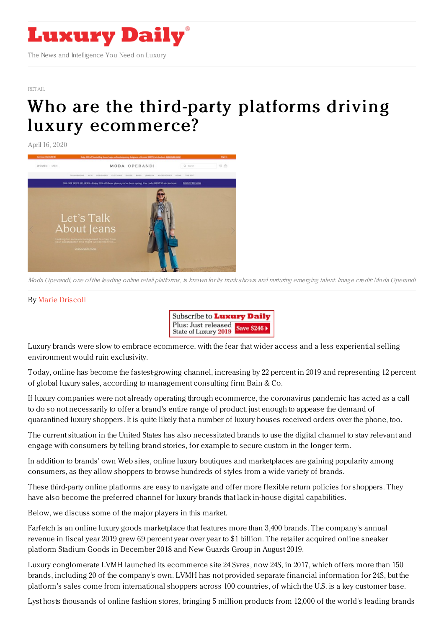

[RETAIL](https://www.luxurydaily.com/category/sectors/retail-industry-sectors/)

## Who are the third-party platforms driving luxury [ecommerce?](https://www.luxurydaily.com/who-are-the-third-party-platforms-driving-luxury-ecommerce/)

April 16, 2020



Moda Operandi, one of the leading online retail platforms, is known for its trunk shows and nurturing emerging talent. Image credit: Moda Operandi

## By Marie [Driscoll](http://www.coresight.com)



Luxury brands were slow to embrace ecommerce, with the fear that wider access and a less experiential selling environment would ruin exclusivity.

Today, online has become the fastest-growing channel, increasing by 22 percent in 2019 and representing 12 percent of global luxury sales, according to management consulting firm Bain & Co.

If luxury companies were not already operating through ecommerce, the coronavirus pandemic has acted as a call to do so not necessarily to offer a brand's entire range of product, just enough to appease the demand of quarantined luxury shoppers. It is quite likely that a number of luxury houses received orders over the phone, too.

The current situation in the United States has also necessitated brands to use the digital channel to stay relevant and engage with consumers by telling brand stories, for example to secure custom in the longer term.

In addition to brands' own Web sites, online luxury boutiques and marketplaces are gaining popularity among consumers, as they allow shoppers to browse hundreds of styles from a wide variety of brands.

These third-party online platforms are easy to navigate and offer more flexible return policies for shoppers. They have also become the preferred channel for luxury brands that lack in-house digital capabilities.

Below, we discuss some of the major players in this market.

Farfetch is an online luxury goods marketplace that features more than 3,400 brands. The company's annual revenue in fiscal year 2019 grew 69 percent year over year to \$1 billion. The retailer acquired online sneaker platform Stadium Goods in December 2018 and New Guards Group in August 2019.

Luxury conglomerate LVMH launched its ecommerce site 24 Svres, now 24S, in 2017, which offers more than 150 brands, including 20 of the company's own. LVMH has not provided separate financial information for 24S, but the platform's sales come from international shoppers across 100 countries, of which the U.S. is a key customer base.

Lyst hosts thousands of online fashion stores, bringing 5 million products from 12,000 of the world's leading brands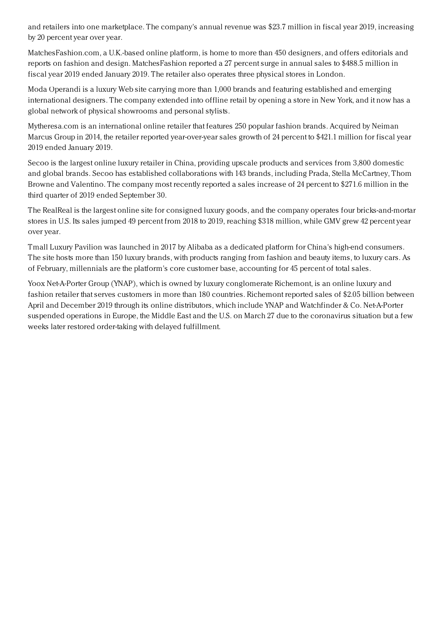and retailers into one marketplace. The company's annual revenue was \$23.7 million in fiscal year 2019, increasing by 20 percent year over year.

MatchesFashion.com, a U.K.-based online platform, is home to more than 450 designers, and offers editorials and reports on fashion and design. MatchesFashion reported a 27 percent surge in annual sales to \$488.5 million in fiscal year 2019 ended January 2019. The retailer also operates three physical stores in London.

Moda Operandi is a luxury Web site carrying more than 1,000 brands and featuring established and emerging international designers. The company extended into offline retail by opening a store in New York, and it now has a global network of physical showrooms and personal stylists.

Mytheresa.com is an international online retailer that features 250 popular fashion brands. Acquired by Neiman Marcus Group in 2014, the retailer reported year-over-year sales growth of 24 percent to \$421.1 million for fiscal year 2019 ended January 2019.

Secoo is the largest online luxury retailer in China, providing upscale products and services from 3,800 domestic and global brands. Secoo has established collaborations with 143 brands, including Prada, Stella McCartney, Thom Browne and Valentino. The company most recently reported a sales increase of 24 percent to \$271.6 million in the third quarter of 2019 ended September 30.

The RealReal is the largest online site for consigned luxury goods, and the company operates four bricks-and-mortar stores in U.S. Its sales jumped 49 percent from 2018 to 2019, reaching \$318 million, while GMV grew 42 percent year over year.

Tmall Luxury Pavilion was launched in 2017 by Alibaba as a dedicated platform for China's high-end consumers. The site hosts more than 150 luxury brands, with products ranging from fashion and beauty items, to luxury cars. As of February, millennials are the platform's core customer base, accounting for 45 percent of total sales.

Yoox Net-A-Porter Group (YNAP), which is owned by luxury conglomerate Richemont, is an online luxury and fashion retailer that serves customers in more than 180 countries. Richemont reported sales of \$2.05 billion between April and December 2019 through its online distributors, which include YNAP and Watchfinder & Co. Net-A-Porter suspended operations in Europe, the Middle East and the U.S. on March 27 due to the coronavirus situation but a few weeks later restored order-taking with delayed fulfillment.